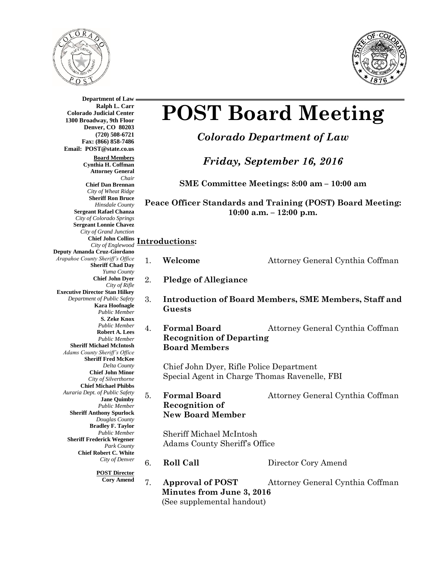



**Department of Law Ralph L. Carr Colorado Judicial Center 1300 Broadway, 9th Floor Denver, CO 80203 (720) 508-6721 Fax: (866) 858-7486 Email: POST@state.co.us Board Members Cynthia H. Coffman Attorney General** *Chair* **Chief Dan Brennan** *City of Wheat Ridge* **Sheriff Ron Bruce** *Hinsdale County* **Sergeant Rafael Chanza** *City of Colorado Springs* **Sergeant Lonnie Chavez** *City of Grand Junction* **Chief John Collins** *City of Englewood* **Introductions: Deputy Amanda Cruz-Giordano** *Arapaho* **Sheriff Chad Day** *Yuma County* **Chief John Dyer** *City of Rifle* **Execut** *Department of Public Safety* **Kara Hoofnagle** *Public Member* **S. Zeke Knox** *Public Member* **Robert A. Lees** *Public Member* **Sheriff Michael McIntosh** *Adams County Sheriff's Office* **Sheriff Fred McKee** *Delta County* **Chief John Minor** *City of Silverthorne* **Chief Michael Phibbs** *Auraria Dept. of Public Safety* **Jane Quimby** *Public Member* **Sheriff Anthony Spurlock** *Douglas County* **Bradley F. Taylor** *Public Member* **Sheriff Frederick Wegener** *Park County* **Chief Robert C. White** *City of Denver* **POST Director**

# **POST Board Meeting**

*Colorado Department of Law*

*Friday, September 16, 2016*

**SME Committee Meetings: 8:00 am – 10:00 am**

**Peace Officer Standards and Training (POST) Board Meeting: 10:00 a.m. – 12:00 p.m.**

| oe County Sheriff's Office<br><b>Sheriff Chad Day</b><br>Yuma County                                                                                        | 1. | Welcome                                                                                   | Attorney General Cynthia Coffman                             |  |
|-------------------------------------------------------------------------------------------------------------------------------------------------------------|----|-------------------------------------------------------------------------------------------|--------------------------------------------------------------|--|
| <b>Chief John Dver</b><br>City of Rifle                                                                                                                     | 2. | <b>Pledge of Allegiance</b>                                                               |                                                              |  |
| tive Director Stan Hilkey<br>epartment of Public Safety<br><b>Kara Hoofnagle</b><br><b>Public Member</b><br>S. Zeke Knox                                    | 3. | Guests                                                                                    | <b>Introduction of Board Members, SME Members, Staff and</b> |  |
| <b>Public Member</b><br><b>Robert A. Lees</b><br><b>Public Member</b><br>heriff Michael McIntosh<br>ms County Sheriff's Office<br><b>Sheriff Fred McKee</b> | 4. | <b>Formal Board</b><br><b>Recognition of Departing</b><br><b>Board Members</b>            | Attorney General Cynthia Coffman                             |  |
| Delta County<br><b>Chief John Minor</b><br>City of Silverthorne<br><b>Chief Michael Phibbs</b>                                                              |    | Chief John Dyer, Rifle Police Department<br>Special Agent in Charge Thomas Ravenelle, FBI |                                                              |  |
| aria Dept. of Public Safety<br><b>Jane Quimby</b><br><b>Public Member</b><br>heriff Anthony Spurlock<br>Douglas County                                      | 5. | <b>Formal Board</b><br><b>Recognition of</b><br><b>New Board Member</b>                   | Attorney General Cynthia Coffman                             |  |
| <b>Bradley F. Taylor</b><br><b>Public Member</b><br>eriff Frederick Wegener<br>Park County<br><b>Chief Robert C. White</b>                                  |    | Sheriff Michael McIntosh<br>Adams County Sheriff's Office                                 |                                                              |  |
| City of Denver                                                                                                                                              | 6. | <b>Roll Call</b>                                                                          | Director Cory Amend                                          |  |
| <b>POST Director</b><br><b>Cory Amend</b>                                                                                                                   | 7. | <b>Approval of POST</b><br>Minutes from June 3, 2016<br>(See supplemental handout)        | Attorney General Cynthia Coffman                             |  |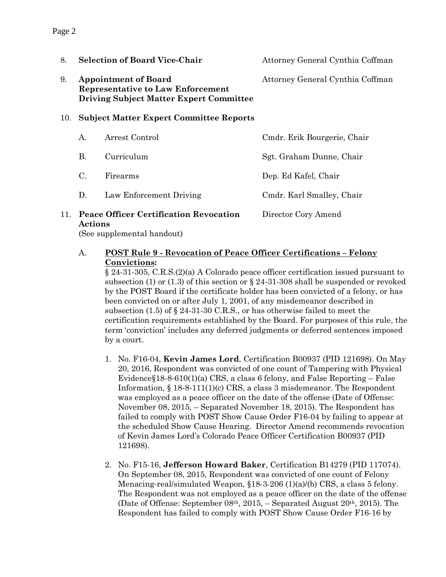| 8.  |                 | <b>Selection of Board Vice-Chair</b>                                                                                      | Attorney General Cynthia Coffman |
|-----|-----------------|---------------------------------------------------------------------------------------------------------------------------|----------------------------------|
| 9.  |                 | <b>Appointment of Board</b><br><b>Representative to Law Enforcement</b><br><b>Driving Subject Matter Expert Committee</b> | Attorney General Cynthia Coffman |
| 10. |                 | <b>Subject Matter Expert Committee Reports</b>                                                                            |                                  |
|     | A.              | Arrest Control                                                                                                            | Cmdr. Erik Bourgerie, Chair      |
|     | В.              | Curriculum                                                                                                                | Sgt. Graham Dunne, Chair         |
|     | $\mathcal{C}$ . | Firearms                                                                                                                  | Dep. Ed Kafel, Chair             |
|     | D.              | Law Enforcement Driving                                                                                                   | Cmdr. Karl Smalley, Chair        |
|     |                 |                                                                                                                           |                                  |

### 11. **Peace Officer Certification Revocation** Director Cory Amend **Actions**

(See supplemental handout)

#### A. **POST Rule 9 - Revocation of Peace Officer Certifications – Felony Convictions:**

§ 24-31-305, C.R.S.(2)(a) A Colorado peace officer certification issued pursuant to subsection (1) or (1.3) of this section or § 24-31-308 shall be suspended or revoked by the POST Board if the certificate holder has been convicted of a felony, or has been convicted on or after July 1, 2001, of any misdemeanor described in subsection (1.5) of § 24-31-30 C.R.S., or has otherwise failed to meet the certification requirements established by the Board. For purposes of this rule, the term 'conviction' includes any deferred judgments or deferred sentences imposed by a court.

- 1. No. F16-04, **Kevin James Lord**, Certification B00937 (PID 121698). On May 20, 2016, Respondent was convicted of one count of Tampering with Physical Evidence§18-8-610(1)(a) CRS, a class 6 felony, and False Reporting – False Information, § 18-8-111(1)(c) CRS, a class 3 misdemeanor. The Respondent was employed as a peace officer on the date of the offense (Date of Offense: November 08, 2015, – Separated November 18, 2015). The Respondent has failed to comply with POST Show Cause Order F16-04 by failing to appear at the scheduled Show Cause Hearing. Director Amend recommends revocation of Kevin James Lord's Colorado Peace Officer Certification B00937 (PID 121698).
- 2. No. F15-16, **Jefferson Howard Baker**, Certification B14279 (PID 117074). On September 08, 2015, Respondent was convicted of one count of Felony Menacing-real/simulated Weapon, §18-3-206 (1)(a)/(b) CRS, a class 5 felony. The Respondent was not employed as a peace officer on the date of the offense (Date of Offense: September 08th, 2015, – Separated August 20th, 2015). The Respondent has failed to comply with POST Show Cause Order F16-16 by